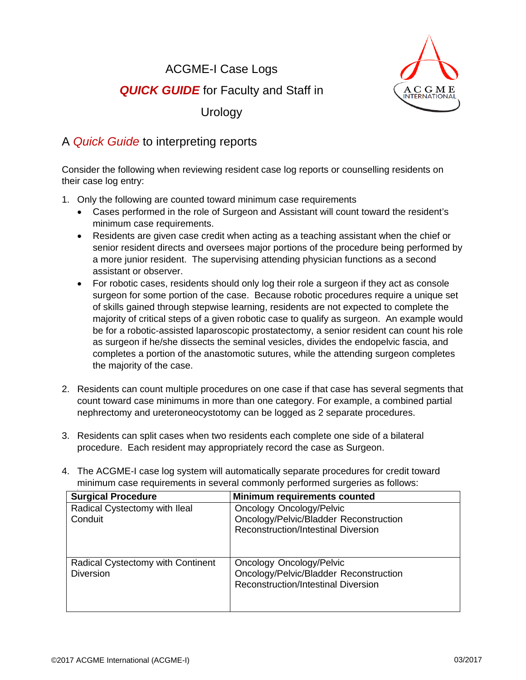ACGME-I Case Logs **QUICK GUIDE** for Faculty and Staff in



Urology

## A *Quick Guide* to interpreting reports

Consider the following when reviewing resident case log reports or counselling residents on their case log entry:

- 1. Only the following are counted toward minimum case requirements
	- Cases performed in the role of Surgeon and Assistant will count toward the resident's minimum case requirements.
	- Residents are given case credit when acting as a teaching assistant when the chief or senior resident directs and oversees major portions of the procedure being performed by a more junior resident. The supervising attending physician functions as a second assistant or observer.
	- For robotic cases, residents should only log their role a surgeon if they act as console surgeon for some portion of the case. Because robotic procedures require a unique set of skills gained through stepwise learning, residents are not expected to complete the majority of critical steps of a given robotic case to qualify as surgeon. An example would be for a robotic-assisted laparoscopic prostatectomy, a senior resident can count his role as surgeon if he/she dissects the seminal vesicles, divides the endopelvic fascia, and completes a portion of the anastomotic sutures, while the attending surgeon completes the majority of the case.
- 2. Residents can count multiple procedures on one case if that case has several segments that count toward case minimums in more than one category. For example, a combined partial nephrectomy and ureteroneocystotomy can be logged as 2 separate procedures.
- 3. Residents can split cases when two residents each complete one side of a bilateral procedure. Each resident may appropriately record the case as Surgeon.
- 4. The ACGME-I case log system will automatically separate procedures for credit toward minimum case requirements in several commonly performed surgeries as follows:

| <b>Surgical Procedure</b>                             | <b>Minimum requirements counted</b>                                                                                     |
|-------------------------------------------------------|-------------------------------------------------------------------------------------------------------------------------|
| Radical Cystectomy with Ileal<br>Conduit              | <b>Oncology Oncology/Pelvic</b><br>Oncology/Pelvic/Bladder Reconstruction<br><b>Reconstruction/Intestinal Diversion</b> |
| Radical Cystectomy with Continent<br><b>Diversion</b> | Oncology Oncology/Pelvic<br>Oncology/Pelvic/Bladder Reconstruction<br>Reconstruction/Intestinal Diversion               |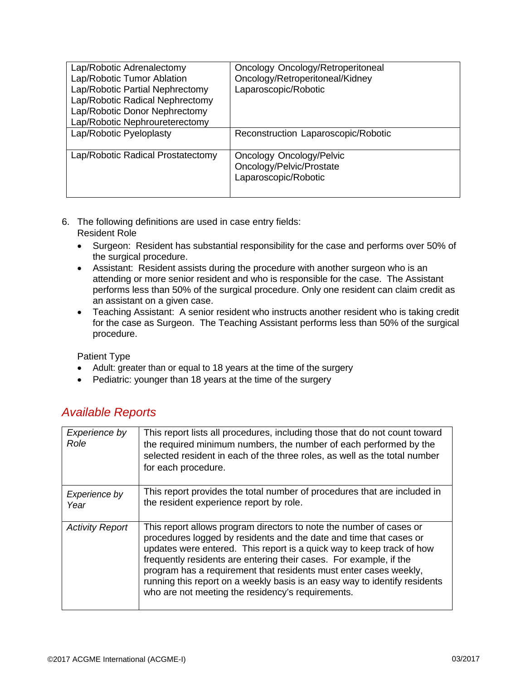| Lap/Robotic Adrenalectomy<br>Lap/Robotic Tumor Ablation<br>Lap/Robotic Partial Nephrectomy<br>Lap/Robotic Radical Nephrectomy<br>Lap/Robotic Donor Nephrectomy<br>Lap/Robotic Nephroureterectomy | Oncology Oncology/Retroperitoneal<br>Oncology/Retroperitoneal/Kidney<br>Laparoscopic/Robotic |
|--------------------------------------------------------------------------------------------------------------------------------------------------------------------------------------------------|----------------------------------------------------------------------------------------------|
| Lap/Robotic Pyeloplasty                                                                                                                                                                          | Reconstruction Laparoscopic/Robotic                                                          |
| Lap/Robotic Radical Prostatectomy                                                                                                                                                                | <b>Oncology Oncology/Pelvic</b><br>Oncology/Pelvic/Prostate<br>Laparoscopic/Robotic          |

- 6. The following definitions are used in case entry fields: Resident Role
	- Surgeon: Resident has substantial responsibility for the case and performs over 50% of the surgical procedure.
	- Assistant: Resident assists during the procedure with another surgeon who is an attending or more senior resident and who is responsible for the case. The Assistant performs less than 50% of the surgical procedure. Only one resident can claim credit as an assistant on a given case.
	- Teaching Assistant: A senior resident who instructs another resident who is taking credit for the case as Surgeon. The Teaching Assistant performs less than 50% of the surgical procedure.

Patient Type

- Adult: greater than or equal to 18 years at the time of the surgery
- Pediatric: younger than 18 years at the time of the surgery

## *Available Reports*

| Experience by<br>Role  | This report lists all procedures, including those that do not count toward<br>the required minimum numbers, the number of each performed by the<br>selected resident in each of the three roles, as well as the total number<br>for each procedure.                                                                                                                                                                                                                                              |
|------------------------|--------------------------------------------------------------------------------------------------------------------------------------------------------------------------------------------------------------------------------------------------------------------------------------------------------------------------------------------------------------------------------------------------------------------------------------------------------------------------------------------------|
| Experience by<br>Year  | This report provides the total number of procedures that are included in<br>the resident experience report by role.                                                                                                                                                                                                                                                                                                                                                                              |
| <b>Activity Report</b> | This report allows program directors to note the number of cases or<br>procedures logged by residents and the date and time that cases or<br>updates were entered. This report is a quick way to keep track of how<br>frequently residents are entering their cases. For example, if the<br>program has a requirement that residents must enter cases weekly,<br>running this report on a weekly basis is an easy way to identify residents<br>who are not meeting the residency's requirements. |